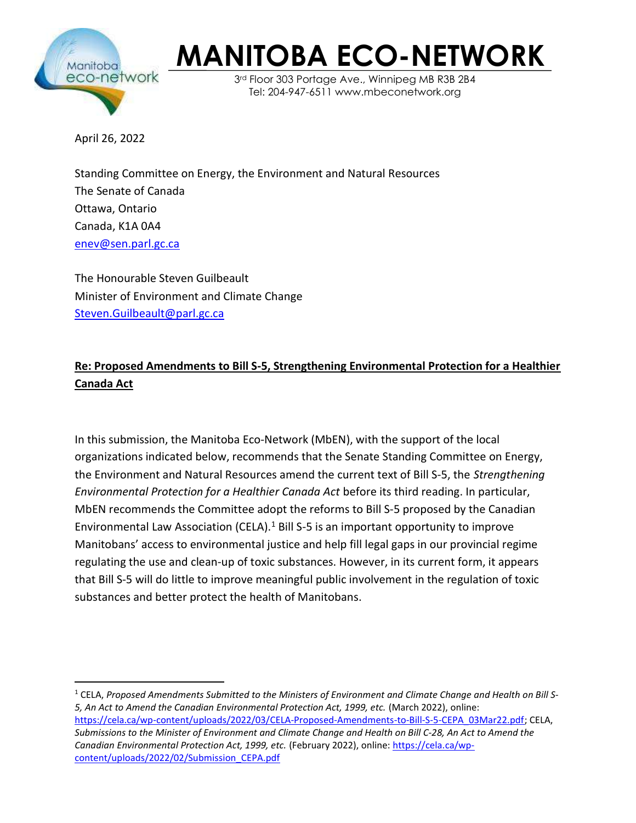

## MANITOBA ECO-NETWORK

3rd Floor 303 Portage Ave., Winnipeg MB R3B 2B4 Tel: 204-947-6511 www.mbeconetwork.org

April 26, 2022

Standing Committee on Energy, the Environment and Natural Resources The Senate of Canada Ottawa, Ontario Canada, K1A 0A4 enev@sen.parl.gc.ca

The Honourable Steven Guilbeault Minister of Environment and Climate Change Steven.Guilbeault@parl.gc.ca

## Re: Proposed Amendments to Bill S-5, Strengthening Environmental Protection for a Healthier Canada Act

In this submission, the Manitoba Eco-Network (MbEN), with the support of the local organizations indicated below, recommends that the Senate Standing Committee on Energy, the Environment and Natural Resources amend the current text of Bill S-5, the Strengthening Environmental Protection for a Healthier Canada Act before its third reading. In particular, MbEN recommends the Committee adopt the reforms to Bill S-5 proposed by the Canadian Environmental Law Association (CELA). $<sup>1</sup>$  Bill S-5 is an important opportunity to improve</sup> Manitobans' access to environmental justice and help fill legal gaps in our provincial regime regulating the use and clean-up of toxic substances. However, in its current form, it appears that Bill S-5 will do little to improve meaningful public involvement in the regulation of toxic substances and better protect the health of Manitobans.

 $^{\rm 1}$  CELA, Proposed Amendments Submitted to the Ministers of Environment and Climate Change and Health on Bill S-5, An Act to Amend the Canadian Environmental Protection Act, 1999, etc. (March 2022), online: https://cela.ca/wp-content/uploads/2022/03/CELA-Proposed-Amendments-to-Bill-S-5-CEPA\_03Mar22.pdf; CELA, Submissions to the Minister of Environment and Climate Change and Health on Bill C-28, An Act to Amend the Canadian Environmental Protection Act, 1999, etc. (February 2022), online: https://cela.ca/wpcontent/uploads/2022/02/Submission\_CEPA.pdf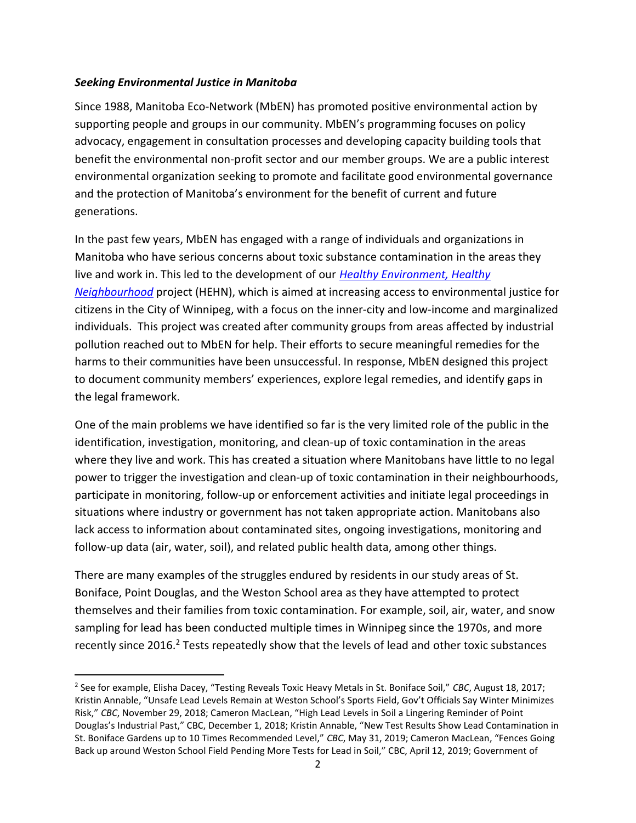## Seeking Environmental Justice in Manitoba

Since 1988, Manitoba Eco-Network (MbEN) has promoted positive environmental action by supporting people and groups in our community. MbEN's programming focuses on policy advocacy, engagement in consultation processes and developing capacity building tools that benefit the environmental non-profit sector and our member groups. We are a public interest environmental organization seeking to promote and facilitate good environmental governance and the protection of Manitoba's environment for the benefit of current and future generations.

In the past few years, MbEN has engaged with a range of individuals and organizations in Manitoba who have serious concerns about toxic substance contamination in the areas they live and work in. This led to the development of our **Healthy Environment**, Healthy Neighbourhood project (HEHN), which is aimed at increasing access to environmental justice for citizens in the City of Winnipeg, with a focus on the inner-city and low-income and marginalized individuals. This project was created after community groups from areas affected by industrial pollution reached out to MbEN for help. Their efforts to secure meaningful remedies for the harms to their communities have been unsuccessful. In response, MbEN designed this project to document community members' experiences, explore legal remedies, and identify gaps in the legal framework.

One of the main problems we have identified so far is the very limited role of the public in the identification, investigation, monitoring, and clean-up of toxic contamination in the areas where they live and work. This has created a situation where Manitobans have little to no legal power to trigger the investigation and clean-up of toxic contamination in their neighbourhoods, participate in monitoring, follow-up or enforcement activities and initiate legal proceedings in situations where industry or government has not taken appropriate action. Manitobans also lack access to information about contaminated sites, ongoing investigations, monitoring and follow-up data (air, water, soil), and related public health data, among other things.

There are many examples of the struggles endured by residents in our study areas of St. Boniface, Point Douglas, and the Weston School area as they have attempted to protect themselves and their families from toxic contamination. For example, soil, air, water, and snow sampling for lead has been conducted multiple times in Winnipeg since the 1970s, and more recently since 2016.<sup>2</sup> Tests repeatedly show that the levels of lead and other toxic substances

<sup>&</sup>lt;sup>2</sup> See for example, Elisha Dacey, "Testing Reveals Toxic Heavy Metals in St. Boniface Soil," CBC, August 18, 2017; Kristin Annable, "Unsafe Lead Levels Remain at Weston School's Sports Field, Gov't Officials Say Winter Minimizes Risk," CBC, November 29, 2018; Cameron MacLean, "High Lead Levels in Soil a Lingering Reminder of Point Douglas's Industrial Past," CBC, December 1, 2018; Kristin Annable, "New Test Results Show Lead Contamination in St. Boniface Gardens up to 10 Times Recommended Level," CBC, May 31, 2019; Cameron MacLean, "Fences Going Back up around Weston School Field Pending More Tests for Lead in Soil," CBC, April 12, 2019; Government of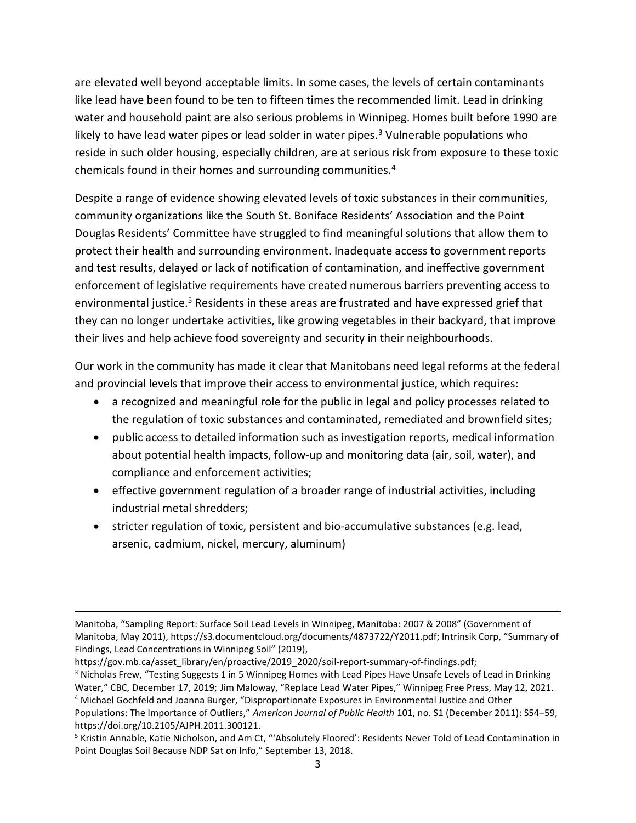are elevated well beyond acceptable limits. In some cases, the levels of certain contaminants like lead have been found to be ten to fifteen times the recommended limit. Lead in drinking water and household paint are also serious problems in Winnipeg. Homes built before 1990 are likely to have lead water pipes or lead solder in water pipes.<sup>3</sup> Vulnerable populations who reside in such older housing, especially children, are at serious risk from exposure to these toxic chemicals found in their homes and surrounding communities.<sup>4</sup>

Despite a range of evidence showing elevated levels of toxic substances in their communities, community organizations like the South St. Boniface Residents' Association and the Point Douglas Residents' Committee have struggled to find meaningful solutions that allow them to protect their health and surrounding environment. Inadequate access to government reports and test results, delayed or lack of notification of contamination, and ineffective government enforcement of legislative requirements have created numerous barriers preventing access to environmental justice.<sup>5</sup> Residents in these areas are frustrated and have expressed grief that they can no longer undertake activities, like growing vegetables in their backyard, that improve their lives and help achieve food sovereignty and security in their neighbourhoods.

Our work in the community has made it clear that Manitobans need legal reforms at the federal and provincial levels that improve their access to environmental justice, which requires:

- a recognized and meaningful role for the public in legal and policy processes related to the regulation of toxic substances and contaminated, remediated and brownfield sites;
- public access to detailed information such as investigation reports, medical information about potential health impacts, follow-up and monitoring data (air, soil, water), and compliance and enforcement activities;
- effective government regulation of a broader range of industrial activities, including industrial metal shredders;
- stricter regulation of toxic, persistent and bio-accumulative substances (e.g. lead, arsenic, cadmium, nickel, mercury, aluminum)

Manitoba, "Sampling Report: Surface Soil Lead Levels in Winnipeg, Manitoba: 2007 & 2008" (Government of Manitoba, May 2011), https://s3.documentcloud.org/documents/4873722/Y2011.pdf; Intrinsik Corp, "Summary of Findings, Lead Concentrations in Winnipeg Soil" (2019),

https://gov.mb.ca/asset\_library/en/proactive/2019\_2020/soil-report-summary-of-findings.pdf;

<sup>&</sup>lt;sup>3</sup> Nicholas Frew, "Testing Suggests 1 in 5 Winnipeg Homes with Lead Pipes Have Unsafe Levels of Lead in Drinking Water," CBC, December 17, 2019; Jim Maloway, "Replace Lead Water Pipes," Winnipeg Free Press, May 12, 2021.

<sup>&</sup>lt;sup>4</sup> Michael Gochfeld and Joanna Burger, "Disproportionate Exposures in Environmental Justice and Other Populations: The Importance of Outliers," American Journal of Public Health 101, no. S1 (December 2011): S54-59, https://doi.org/10.2105/AJPH.2011.300121.

<sup>&</sup>lt;sup>5</sup> Kristin Annable, Katie Nicholson, and Am Ct, "'Absolutely Floored': Residents Never Told of Lead Contamination in Point Douglas Soil Because NDP Sat on Info," September 13, 2018.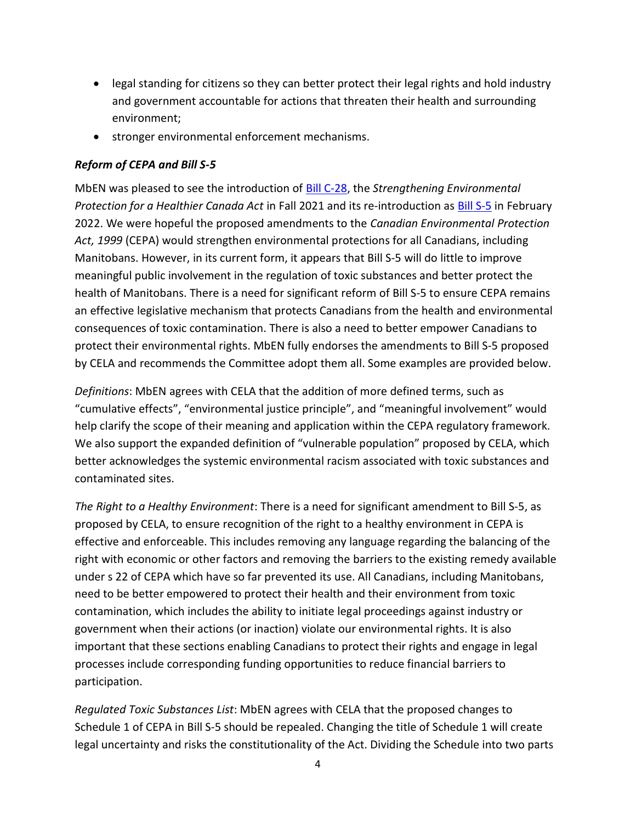- legal standing for citizens so they can better protect their legal rights and hold industry and government accountable for actions that threaten their health and surrounding environment;
- **•** stronger environmental enforcement mechanisms.

## Reform of CEPA and Bill S-5

MbEN was pleased to see the introduction of  $\underline{\text{Bill C-28}}$ , the Strengthening Environmental Protection for a Healthier Canada Act in Fall 2021 and its re-introduction as **Bill S-5** in February 2022. We were hopeful the proposed amendments to the Canadian Environmental Protection Act, 1999 (CEPA) would strengthen environmental protections for all Canadians, including Manitobans. However, in its current form, it appears that Bill S-5 will do little to improve meaningful public involvement in the regulation of toxic substances and better protect the health of Manitobans. There is a need for significant reform of Bill S-5 to ensure CEPA remains an effective legislative mechanism that protects Canadians from the health and environmental consequences of toxic contamination. There is also a need to better empower Canadians to protect their environmental rights. MbEN fully endorses the amendments to Bill S-5 proposed by CELA and recommends the Committee adopt them all. Some examples are provided below.

Definitions: MbEN agrees with CELA that the addition of more defined terms, such as "cumulative effects", "environmental justice principle", and "meaningful involvement" would help clarify the scope of their meaning and application within the CEPA regulatory framework. We also support the expanded definition of "vulnerable population" proposed by CELA, which better acknowledges the systemic environmental racism associated with toxic substances and contaminated sites.

The Right to a Healthy Environment: There is a need for significant amendment to Bill S-5, as proposed by CELA, to ensure recognition of the right to a healthy environment in CEPA is effective and enforceable. This includes removing any language regarding the balancing of the right with economic or other factors and removing the barriers to the existing remedy available under s 22 of CEPA which have so far prevented its use. All Canadians, including Manitobans, need to be better empowered to protect their health and their environment from toxic contamination, which includes the ability to initiate legal proceedings against industry or government when their actions (or inaction) violate our environmental rights. It is also important that these sections enabling Canadians to protect their rights and engage in legal processes include corresponding funding opportunities to reduce financial barriers to participation.

Regulated Toxic Substances List: MbEN agrees with CELA that the proposed changes to Schedule 1 of CEPA in Bill S-5 should be repealed. Changing the title of Schedule 1 will create legal uncertainty and risks the constitutionality of the Act. Dividing the Schedule into two parts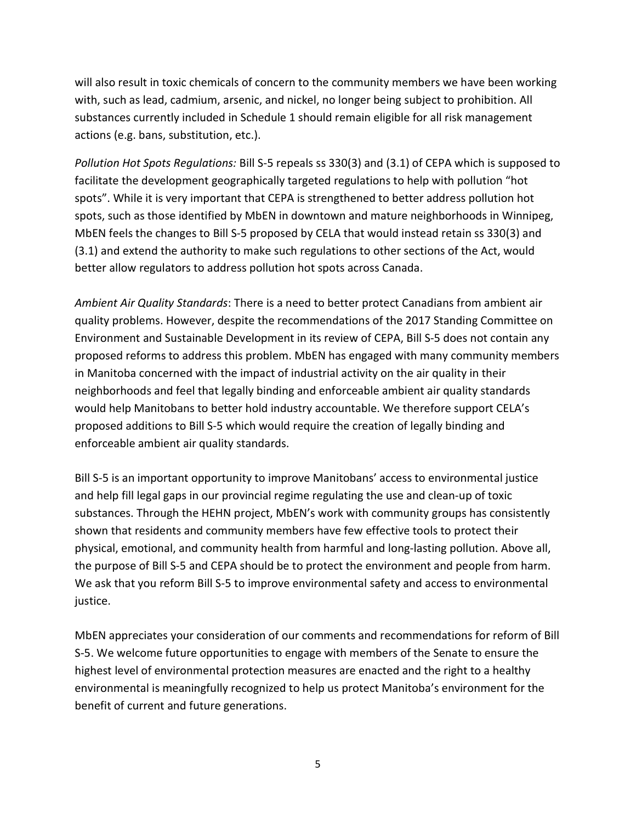will also result in toxic chemicals of concern to the community members we have been working with, such as lead, cadmium, arsenic, and nickel, no longer being subject to prohibition. All substances currently included in Schedule 1 should remain eligible for all risk management actions (e.g. bans, substitution, etc.).

Pollution Hot Spots Regulations: Bill S-5 repeals ss 330(3) and (3.1) of CEPA which is supposed to facilitate the development geographically targeted regulations to help with pollution "hot spots". While it is very important that CEPA is strengthened to better address pollution hot spots, such as those identified by MbEN in downtown and mature neighborhoods in Winnipeg, MbEN feels the changes to Bill S-5 proposed by CELA that would instead retain ss 330(3) and (3.1) and extend the authority to make such regulations to other sections of the Act, would better allow regulators to address pollution hot spots across Canada.

Ambient Air Quality Standards: There is a need to better protect Canadians from ambient air quality problems. However, despite the recommendations of the 2017 Standing Committee on Environment and Sustainable Development in its review of CEPA, Bill S-5 does not contain any proposed reforms to address this problem. MbEN has engaged with many community members in Manitoba concerned with the impact of industrial activity on the air quality in their neighborhoods and feel that legally binding and enforceable ambient air quality standards would help Manitobans to better hold industry accountable. We therefore support CELA's proposed additions to Bill S-5 which would require the creation of legally binding and enforceable ambient air quality standards.

Bill S-5 is an important opportunity to improve Manitobans' access to environmental justice and help fill legal gaps in our provincial regime regulating the use and clean-up of toxic substances. Through the HEHN project, MbEN's work with community groups has consistently shown that residents and community members have few effective tools to protect their physical, emotional, and community health from harmful and long-lasting pollution. Above all, the purpose of Bill S-5 and CEPA should be to protect the environment and people from harm. We ask that you reform Bill S-5 to improve environmental safety and access to environmental justice.

MbEN appreciates your consideration of our comments and recommendations for reform of Bill S-5. We welcome future opportunities to engage with members of the Senate to ensure the highest level of environmental protection measures are enacted and the right to a healthy environmental is meaningfully recognized to help us protect Manitoba's environment for the benefit of current and future generations.